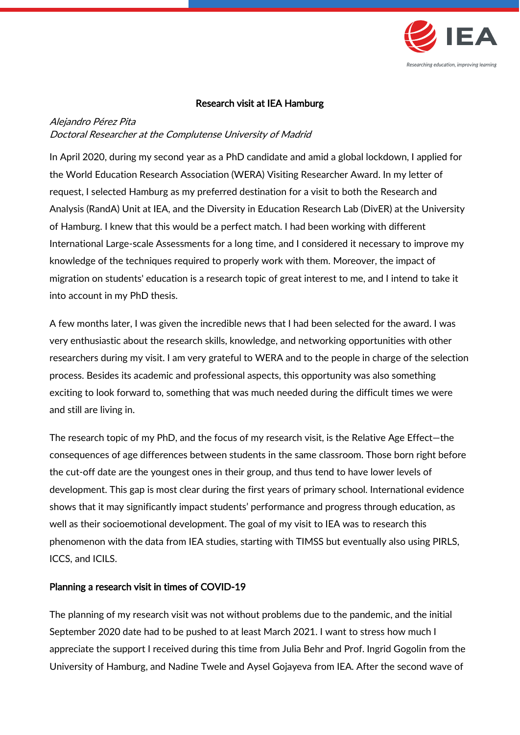

## Research visit at IEA Hamburg

## Alejandro Pérez Pita Doctoral Researcher at the Complutense University of Madrid

In April 2020, during my second year as a PhD candidate and amid a global lockdown, I applied for the World Education Research Association (WERA) Visiting Researcher Award. In my letter of request, I selected Hamburg as my preferred destination for a visit to both the Research and Analysis (RandA) Unit at IEA, and the Diversity in Education Research Lab (DivER) at the University of Hamburg. I knew that this would be a perfect match. I had been working with different International Large-scale Assessments for a long time, and I considered it necessary to improve my knowledge of the techniques required to properly work with them. Moreover, the impact of migration on students' education is a research topic of great interest to me, and I intend to take it into account in my PhD thesis.

A few months later, I was given the incredible news that I had been selected for the award. I was very enthusiastic about the research skills, knowledge, and networking opportunities with other researchers during my visit. I am very grateful to WERA and to the people in charge of the selection process. Besides its academic and professional aspects, this opportunity was also something exciting to look forward to, something that was much needed during the difficult times we were and still are living in.

The research topic of my PhD, and the focus of my research visit, is the Relative Age Effect―the consequences of age differences between students in the same classroom. Those born right before the cut-off date are the youngest ones in their group, and thus tend to have lower levels of development. This gap is most clear during the first years of primary school. International evidence shows that it may significantly impact students' performance and progress through education, as well as their socioemotional development. The goal of my visit to IEA was to research this phenomenon with the data from IEA studies, starting with TIMSS but eventually also using PIRLS, ICCS, and ICILS.

## Planning a research visit in times of COVID-19

The planning of my research visit was not without problems due to the pandemic, and the initial September 2020 date had to be pushed to at least March 2021. I want to stress how much I appreciate the support I received during this time from Julia Behr and Prof. Ingrid Gogolin from the University of Hamburg, and Nadine Twele and Aysel Gojayeva from IEA. After the second wave of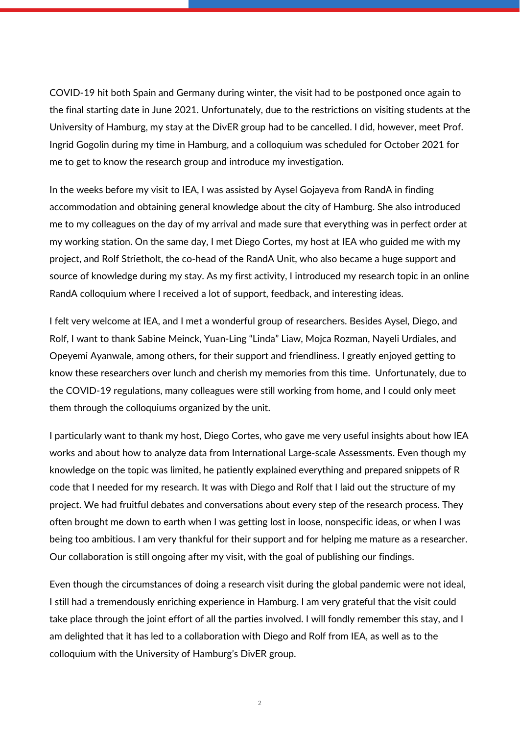COVID-19 hit both Spain and Germany during winter, the visit had to be postponed once again to the final starting date in June 2021. Unfortunately, due to the restrictions on visiting students at the University of Hamburg, my stay at the DivER group had to be cancelled. I did, however, meet Prof. Ingrid Gogolin during my time in Hamburg, and a colloquium was scheduled for October 2021 for me to get to know the research group and introduce my investigation.

In the weeks before my visit to IEA, I was assisted by Aysel Gojayeva from RandA in finding accommodation and obtaining general knowledge about the city of Hamburg. She also introduced me to my colleagues on the day of my arrival and made sure that everything was in perfect order at my working station. On the same day, I met Diego Cortes, my host at IEA who guided me with my project, and Rolf Strietholt, the co-head of the RandA Unit, who also became a huge support and source of knowledge during my stay. As my first activity, I introduced my research topic in an online RandA colloquium where I received a lot of support, feedback, and interesting ideas.

I felt very welcome at IEA, and I met a wonderful group of researchers. Besides Aysel, Diego, and Rolf, I want to thank Sabine Meinck, Yuan-Ling "Linda" Liaw, Mojca Rozman, Nayeli Urdiales, and Opeyemi Ayanwale, among others, for their support and friendliness. I greatly enjoyed getting to know these researchers over lunch and cherish my memories from this time. Unfortunately, due to the COVID-19 regulations, many colleagues were still working from home, and I could only meet them through the colloquiums organized by the unit.

I particularly want to thank my host, Diego Cortes, who gave me very useful insights about how IEA works and about how to analyze data from International Large-scale Assessments. Even though my knowledge on the topic was limited, he patiently explained everything and prepared snippets of R code that I needed for my research. It was with Diego and Rolf that I laid out the structure of my project. We had fruitful debates and conversations about every step of the research process. They often brought me down to earth when I was getting lost in loose, nonspecific ideas, or when I was being too ambitious. I am very thankful for their support and for helping me mature as a researcher. Our collaboration is still ongoing after my visit, with the goal of publishing our findings.

Even though the circumstances of doing a research visit during the global pandemic were not ideal, I still had a tremendously enriching experience in Hamburg. I am very grateful that the visit could take place through the joint effort of all the parties involved. I will fondly remember this stay, and I am delighted that it has led to a collaboration with Diego and Rolf from IEA, as well as to the colloquium with the University of Hamburg's DivER group.

2